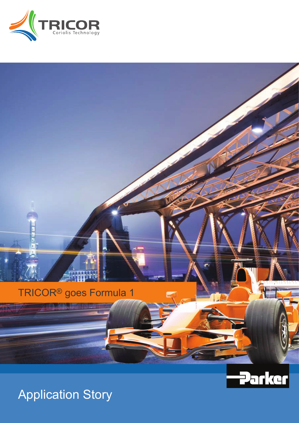



Application Story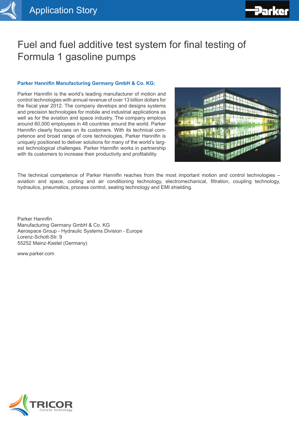

# Fuel and fuel additive test system for final testing of Formula 1 gasoline pumps

## **Parker Hannifin Manufacturing Germany GmbH & Co. KG:**

Parker Hannifin is the world's leading manufacturer of motion and control technologies with annual revenue of over 13 billion dollars for the fiscal year 2012. The company develops and designs systems and precision technologies for mobile and industrial applications as well as for the aviation and space industry. The company employs around 60,000 employees in 48 countries around the world. Parker Hannifin clearly focuses on its customers. With its technical competence and broad range of core technologies, Parker Hannifin is uniquely positioned to deliver solutions for many of the world's largest technological challenges. Parker Hannifin works in partnership with its customers to increase their productivity and profitability.



The technical competence of Parker Hannifin reaches from the most important motion and control technologies – aviation and space, cooling and air conditioning technology, electromechanical, filtration, coupling technology, hydraulics, pneumatics, process control, sealing technology and EMI shielding.

Parker Hannifin Manufacturing Germany GmbH & Co. KG Aerospace Group - Hydraulic Systems Division - Europe Lorenz-Schott-Str. 9 55252 Mainz-Kastel (Germany)

www.parker.com

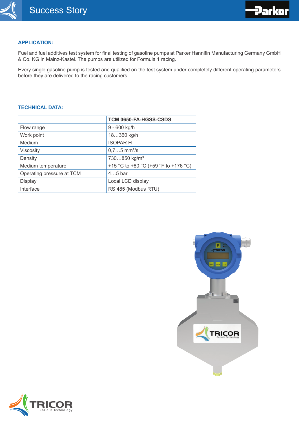

### **APPLICATION:**

Fuel and fuel additives test system for final testing of gasoline pumps at Parker Hannifin Manufacturing Germany GmbH & Co. KG in Mainz-Kastel. The pumps are utilized for Formula 1 racing.

Every single gasoline pump is tested and qualified on the test system under completely different operating parameters before they are delivered to the racing customers.

#### **TECHNICAL DATA:**

|                           | TCM 0650-FA-HGSS-CSDS                |
|---------------------------|--------------------------------------|
| Flow range                | 9 - 600 kg/h                         |
| Work point                | 18360 kg/h                           |
| Medium                    | <b>ISOPARH</b>                       |
| Viscosity                 | $0.75$ mm <sup>2</sup> /s            |
| Density                   | 730850 kg/m <sup>3</sup>             |
| Medium temperature        | +15 °C to +80 °C (+59 °F to +176 °C) |
| Operating pressure at TCM | $45$ bar                             |
| <b>Display</b>            | Local LCD display                    |
| Interface                 | RS 485 (Modbus RTU)                  |